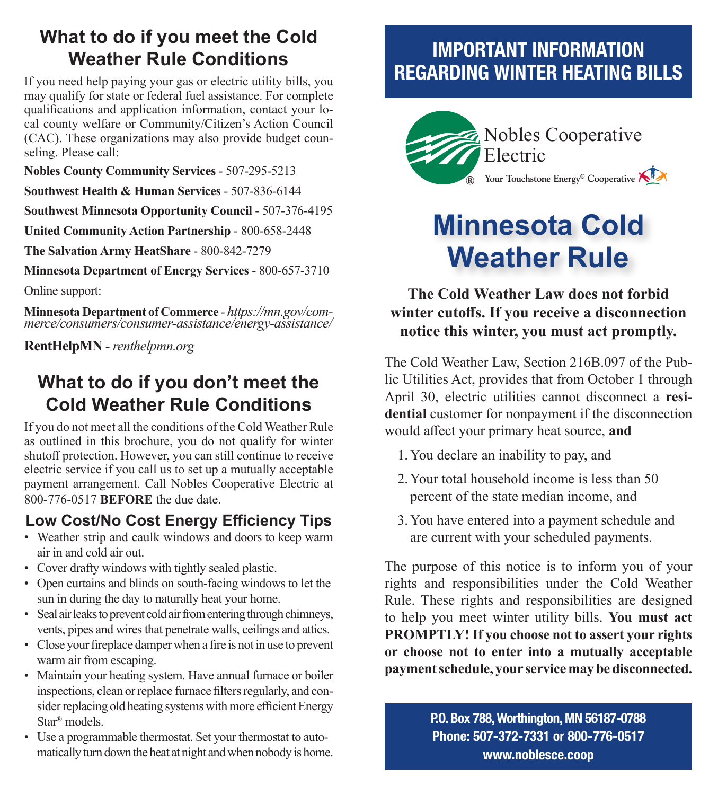## **What to do if you meet the Cold Weather Rule Conditions**

If you need help paying your gas or electric utility bills, you may qualify for state or federal fuel assistance. For complete qualifications and application information, contact your local county welfare or Community/Citizen's Action Council (CAC). These organizations may also provide budget counseling. Please call:

**Nobles County Community Services** - 507-295-5213

**Southwest Health & Human Services** - 507-836-6144

**Southwest Minnesota Opportunity Council** - 507-376-4195

**United Community Action Partnership** - 800-658-2448

**The Salvation Army HeatShare** - 800-842-7279

**Minnesota Department of Energy Services** - 800-657-3710

Online support:

**Minnesota Department of Commerce** - *https://mn.gov/com- merce/consumers/consumer-assistance/energy-assistance/*

**RentHelpMN** *- renthelpmn.org*

## **What to do if you don't meet the Cold Weather Rule Conditions**

If you do not meet all the conditions of the Cold Weather Rule as outlined in this brochure, you do not qualify for winter shutoff protection. However, you can still continue to receive electric service if you call us to set up a mutually acceptable payment arrangement. Call Nobles Cooperative Electric at 800-776-0517 **BEFORE** the due date.

### **Low Cost/No Cost Energy Efficiency Tips**

- Weather strip and caulk windows and doors to keep warm air in and cold air out.
- Cover drafty windows with tightly sealed plastic.
- Open curtains and blinds on south-facing windows to let the sun in during the day to naturally heat your home.
- Seal air leaks to prevent cold air from entering through chimneys, vents, pipes and wires that penetrate walls, ceilings and attics.
- Close your fireplace damper when a fire is not in use to prevent warm air from escaping.
- Maintain your heating system. Have annual furnace or boiler inspections, clean or replace furnace filters regularly, and consider replacing old heating systems with more efficient Energy Star® models.
- Use a programmable thermostat. Set your thermostat to automatically turn down the heat at night and when nobody is home.

## IMPORTANT INFORMATION REGARDING WINTER HEATING BILLS



# **Minnesota Cold Weather Rule**

#### **The Cold Weather Law does not forbid winter cutoffs. If you receive a disconnection notice this winter, you must act promptly.**

The Cold Weather Law, Section 216B.097 of the Public Utilities Act, provides that from October 1 through April 30, electric utilities cannot disconnect a **residential** customer for nonpayment if the disconnection would affect your primary heat source, **and**

- 1. You declare an inability to pay, and
- 2. Your total household income is less than 50 percent of the state median income, and
- 3. You have entered into a payment schedule and are current with your scheduled payments.

The purpose of this notice is to inform you of your rights and responsibilities under the Cold Weather Rule. These rights and responsibilities are designed to help you meet winter utility bills. **You must act PROMPTLY! If you choose not to assert your rights or choose not to enter into a mutually acceptable payment schedule, your service may be disconnected.**

> P.O. Box 788, Worthington, MN 56187-0788 Phone: 507-372-7331 or 800-776-0517 www.noblesce.coop